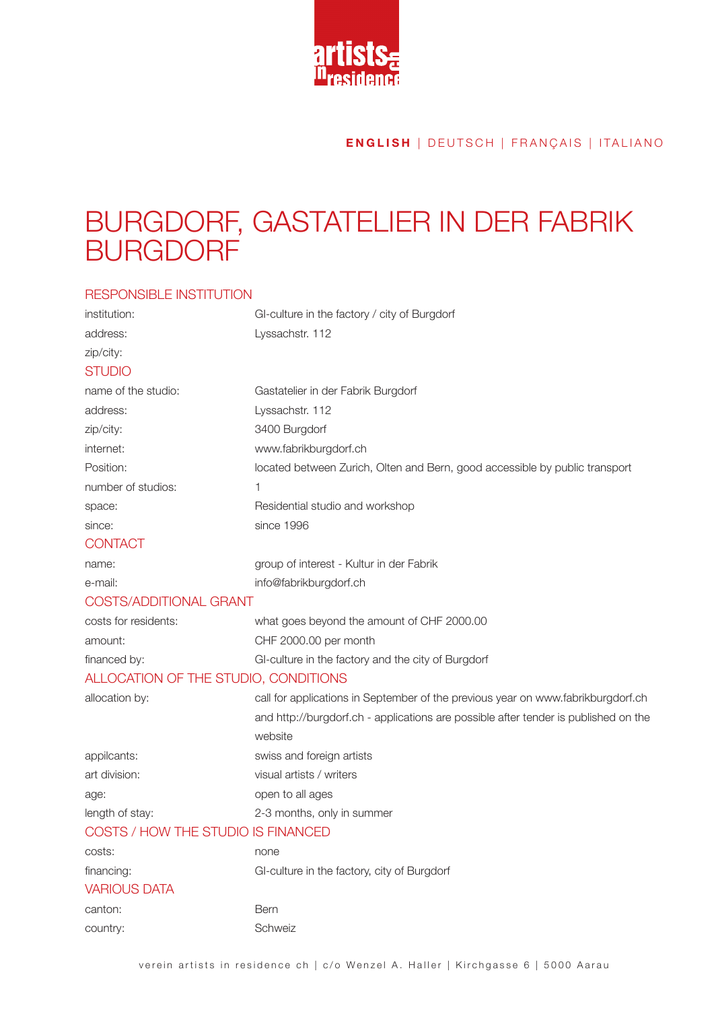

#### **ENGLISH** | DEUTSCH | FRANÇAIS | ITALIANO

# Burgdorf, Gastatelier in der Fabrik **BURGDORF**

#### responsible institution

| institution:                         | GI-culture in the factory / city of Burgdorf                                        |  |
|--------------------------------------|-------------------------------------------------------------------------------------|--|
| address:                             | Lyssachstr. 112                                                                     |  |
| zip/city:                            |                                                                                     |  |
| <b>STUDIO</b>                        |                                                                                     |  |
| name of the studio:                  | Gastatelier in der Fabrik Burgdorf                                                  |  |
| address:                             | Lyssachstr. 112                                                                     |  |
| zip/city:                            | 3400 Burgdorf                                                                       |  |
| internet:                            | www.fabrikburgdorf.ch                                                               |  |
| Position:                            | located between Zurich, Olten and Bern, good accessible by public transport         |  |
| number of studios:                   |                                                                                     |  |
| space:                               | Residential studio and workshop                                                     |  |
| since:                               | since 1996                                                                          |  |
| <b>CONTACT</b>                       |                                                                                     |  |
| name:                                | group of interest - Kultur in der Fabrik                                            |  |
| e-mail:                              | info@fabrikburgdorf.ch                                                              |  |
| <b>COSTS/ADDITIONAL GRANT</b>        |                                                                                     |  |
| costs for residents:                 | what goes beyond the amount of CHF 2000.00                                          |  |
| amount:                              | CHF 2000.00 per month                                                               |  |
| financed by:                         | GI-culture in the factory and the city of Burgdorf                                  |  |
| ALLOCATION OF THE STUDIO, CONDITIONS |                                                                                     |  |
| allocation by:                       | call for applications in September of the previous year on www.fabrikburgdorf.ch    |  |
|                                      | and http://burgdorf.ch - applications are possible after tender is published on the |  |
|                                      | website                                                                             |  |
| appilcants:                          | swiss and foreign artists                                                           |  |
| art division:                        | visual artists / writers                                                            |  |
| age:                                 | open to all ages                                                                    |  |
| length of stay:                      | 2-3 months, only in summer                                                          |  |
| COSTS / HOW THE STUDIO IS FINANCED   |                                                                                     |  |
| costs:                               | none                                                                                |  |
| financing:                           | GI-culture in the factory, city of Burgdorf                                         |  |
| <b>VARIOUS DATA</b>                  |                                                                                     |  |
| canton:                              | Bern                                                                                |  |
| country:                             | Schweiz                                                                             |  |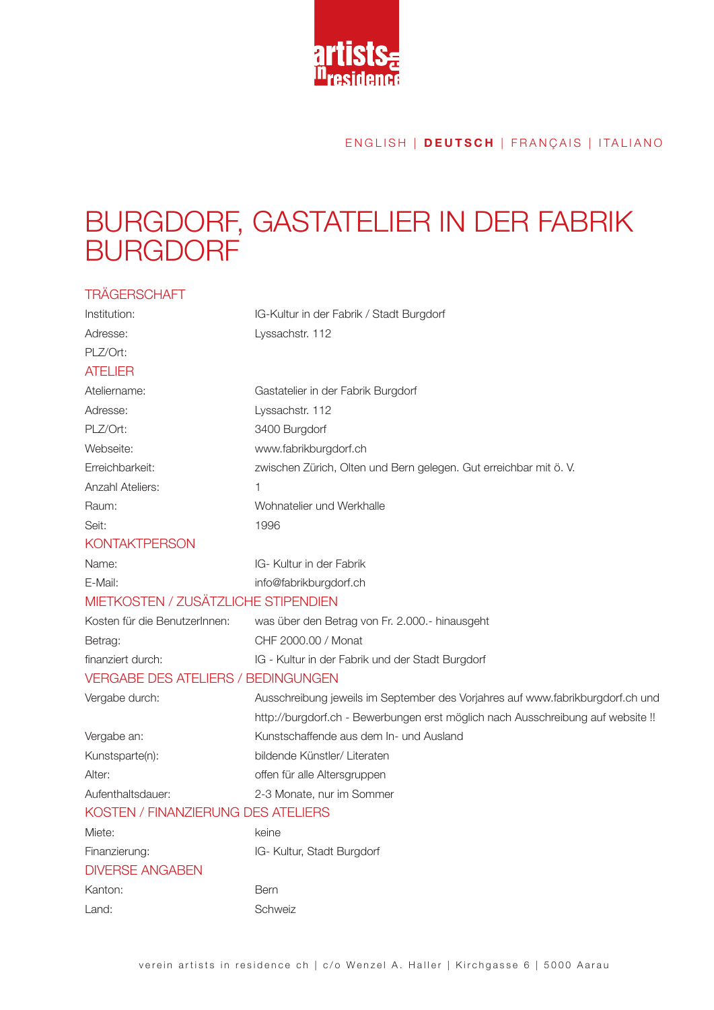

#### E N G LISH | **DEUTSCH** | FRANÇAIS | ITALIANO

# Burgdorf, Gastatelier in der Fabrik **BURGD**

| <b>TRAGERSCHAFT</b>                       |                                                                                 |
|-------------------------------------------|---------------------------------------------------------------------------------|
| Institution:                              | IG-Kultur in der Fabrik / Stadt Burgdorf                                        |
| Adresse:                                  | Lyssachstr. 112                                                                 |
| PLZ/Ort:                                  |                                                                                 |
| <b>ATELIER</b>                            |                                                                                 |
| Ateliername:                              | Gastatelier in der Fabrik Burgdorf                                              |
| Adresse:                                  | Lyssachstr. 112                                                                 |
| PLZ/Ort:                                  | 3400 Burgdorf                                                                   |
| Webseite:                                 | www.fabrikburgdorf.ch                                                           |
| Erreichbarkeit:                           | zwischen Zürich, Olten und Bern gelegen. Gut erreichbar mit ö. V.               |
| <b>Anzahl Ateliers:</b>                   | 1                                                                               |
| Raum:                                     | Wohnatelier und Werkhalle                                                       |
| Seit:                                     | 1996                                                                            |
| <b>KONTAKTPERSON</b>                      |                                                                                 |
| Name:                                     | IG- Kultur in der Fabrik                                                        |
| E-Mail:                                   | info@fabrikburgdorf.ch                                                          |
| MIETKOSTEN / ZUSÄTZLICHE STIPENDIEN       |                                                                                 |
| Kosten für die BenutzerInnen:             | was über den Betrag von Fr. 2.000.- hinausgeht                                  |
| Betrag:                                   | CHF 2000.00 / Monat                                                             |
| finanziert durch:                         | IG - Kultur in der Fabrik und der Stadt Burgdorf                                |
| <b>VERGABE DES ATELIERS / BEDINGUNGEN</b> |                                                                                 |
| Vergabe durch:                            | Ausschreibung jeweils im September des Vorjahres auf www.fabrikburgdorf.ch und  |
|                                           | http://burgdorf.ch - Bewerbungen erst möglich nach Ausschreibung auf website !! |
| Vergabe an:                               | Kunstschaffende aus dem In- und Ausland                                         |
| Kunstsparte(n):                           | bildende Künstler/ Literaten                                                    |
| Alter:                                    | offen für alle Altersgruppen                                                    |
| Aufenthaltsdauer:                         | 2-3 Monate, nur im Sommer                                                       |
| KOSTEN / FINANZIERUNG DES ATELIERS        |                                                                                 |
| Miete:                                    | keine                                                                           |
| Finanzierung:                             | IG- Kultur, Stadt Burgdorf                                                      |
| <b>DIVERSE ANGABEN</b>                    |                                                                                 |
| Kanton:                                   | Bern                                                                            |
| Land:                                     | Schweiz                                                                         |
|                                           |                                                                                 |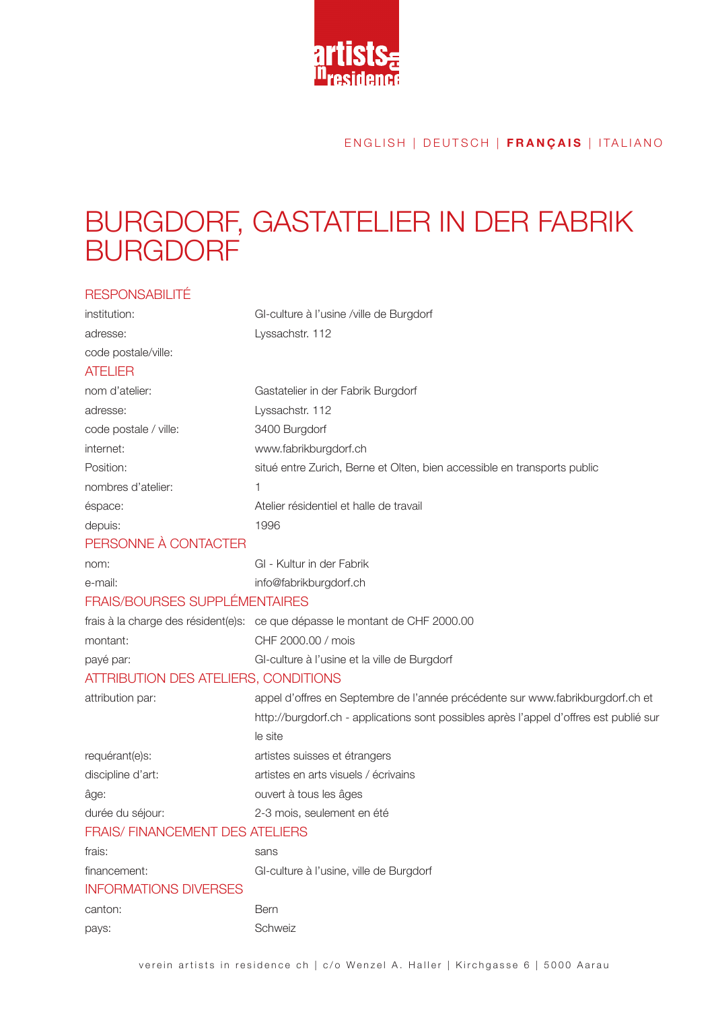

### E N G LISH | DEUTSCH | **FRANÇAIS** | ITALIANO

# Burgdorf, Gastatelier in der Fabrik **BURGD**

| <b>RESPONSABILITÉ</b>                  |                                                                                        |
|----------------------------------------|----------------------------------------------------------------------------------------|
| institution:                           | GI-culture à l'usine /ville de Burgdorf                                                |
| adresse:                               | Lyssachstr. 112                                                                        |
| code postale/ville:                    |                                                                                        |
| <b>ATELIER</b>                         |                                                                                        |
| nom d'atelier:                         | Gastatelier in der Fabrik Burgdorf                                                     |
| adresse:                               | Lyssachstr. 112                                                                        |
| code postale / ville:                  | 3400 Burgdorf                                                                          |
| internet:                              | www.fabrikburgdorf.ch                                                                  |
| Position:                              | situé entre Zurich, Berne et Olten, bien accessible en transports public               |
| nombres d'atelier:                     | 1                                                                                      |
| éspace:                                | Atelier résidentiel et halle de travail                                                |
| depuis:                                | 1996                                                                                   |
| PERSONNE À CONTACTER                   |                                                                                        |
| nom:                                   | GI - Kultur in der Fabrik                                                              |
| e-mail:                                | info@fabrikburgdorf.ch                                                                 |
| <b>FRAIS/BOURSES SUPPLÉMENTAIRES</b>   |                                                                                        |
|                                        | frais à la charge des résident(e)s: ce que dépasse le montant de CHF 2000.00           |
| montant:                               | CHF 2000.00 / mois                                                                     |
| payé par:                              | GI-culture à l'usine et la ville de Burgdorf                                           |
| ATTRIBUTION DES ATELIERS, CONDITIONS   |                                                                                        |
| attribution par:                       | appel d'offres en Septembre de l'année précédente sur www.fabrikburgdorf.ch et         |
|                                        | http://burgdorf.ch - applications sont possibles après l'appel d'offres est publié sur |
|                                        | le site                                                                                |
| requérant(e)s:                         | artistes suisses et étrangers                                                          |
| discipline d'art:                      | artistes en arts visuels / écrivains                                                   |
| âge:                                   | ouvert à tous les âges                                                                 |
| durée du séjour:                       | 2-3 mois, seulement en été                                                             |
| <b>FRAIS/ FINANCEMENT DES ATELIERS</b> |                                                                                        |
| frais:                                 | sans                                                                                   |
| financement:                           | GI-culture à l'usine, ville de Burgdorf                                                |
| <b>INFORMATIONS DIVERSES</b>           |                                                                                        |
| canton:                                | <b>Bern</b>                                                                            |
| pays:                                  | Schweiz                                                                                |
|                                        |                                                                                        |